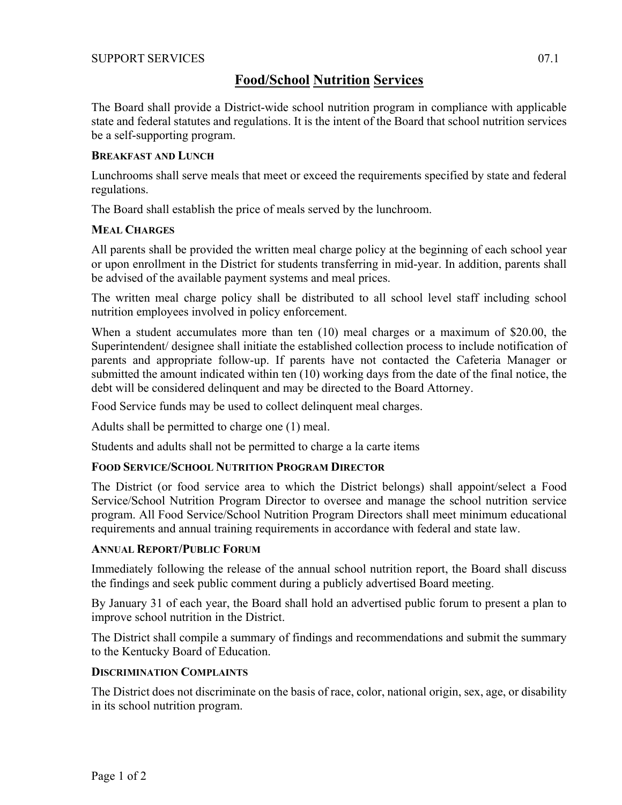# **Food/School Nutrition Services**

The Board shall provide a District-wide school nutrition program in compliance with applicable state and federal statutes and regulations. It is the intent of the Board that school nutrition services be a self-supporting program.

## **BREAKFAST AND LUNCH**

Lunchrooms shall serve meals that meet or exceed the requirements specified by state and federal regulations.

The Board shall establish the price of meals served by the lunchroom.

# **MEAL CHARGES**

All parents shall be provided the written meal charge policy at the beginning of each school year or upon enrollment in the District for students transferring in mid-year. In addition, parents shall be advised of the available payment systems and meal prices.

The written meal charge policy shall be distributed to all school level staff including school nutrition employees involved in policy enforcement.

When a student accumulates more than ten (10) meal charges or a maximum of \$20.00, the Superintendent/ designee shall initiate the established collection process to include notification of parents and appropriate follow-up. If parents have not contacted the Cafeteria Manager or submitted the amount indicated within ten (10) working days from the date of the final notice, the debt will be considered delinquent and may be directed to the Board Attorney.

Food Service funds may be used to collect delinquent meal charges.

Adults shall be permitted to charge one (1) meal.

Students and adults shall not be permitted to charge a la carte items

# **FOOD SERVICE/SCHOOL NUTRITION PROGRAM DIRECTOR**

The District (or food service area to which the District belongs) shall appoint/select a Food Service/School Nutrition Program Director to oversee and manage the school nutrition service program. All Food Service/School Nutrition Program Directors shall meet minimum educational requirements and annual training requirements in accordance with federal and state law.

# **ANNUAL REPORT/PUBLIC FORUM**

Immediately following the release of the annual school nutrition report, the Board shall discuss the findings and seek public comment during a publicly advertised Board meeting.

By January 31 of each year, the Board shall hold an advertised public forum to present a plan to improve school nutrition in the District.

The District shall compile a summary of findings and recommendations and submit the summary to the Kentucky Board of Education.

## **DISCRIMINATION COMPLAINTS**

The District does not discriminate on the basis of race, color, national origin, sex, age, or disability in its school nutrition program.